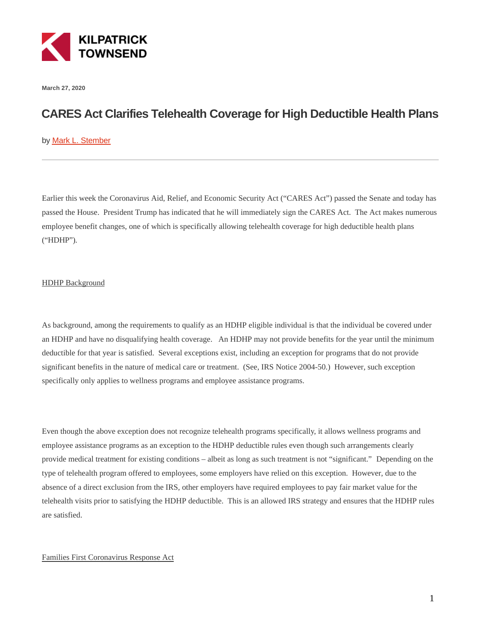

**March 27, 2020**

# **CARES Act Clarifies Telehealth Coverage for High Deductible Health Plans**

# by [Mark L. Stember](https://kilpatricktownsend.com/People/S/StemberMarkL)

Earlier this week the Coronavirus Aid, Relief, and Economic Security Act ("CARES Act") passed the Senate and today has passed the House. President Trump has indicated that he will immediately sign the CARES Act. The Act makes numerous employee benefit changes, one of which is specifically allowing telehealth coverage for high deductible health plans ("HDHP").

# HDHP Background

As background, among the requirements to qualify as an HDHP eligible individual is that the individual be covered under an HDHP and have no disqualifying health coverage. An HDHP may not provide benefits for the year until the minimum deductible for that year is satisfied. Several exceptions exist, including an exception for programs that do not provide significant benefits in the nature of medical care or treatment. (See, IRS Notice 2004-50.) However, such exception specifically only applies to wellness programs and employee assistance programs.

Even though the above exception does not recognize telehealth programs specifically, it allows wellness programs and employee assistance programs as an exception to the HDHP deductible rules even though such arrangements clearly provide medical treatment for existing conditions – albeit as long as such treatment is not "significant." Depending on the type of telehealth program offered to employees, some employers have relied on this exception. However, due to the absence of a direct exclusion from the IRS, other employers have required employees to pay fair market value for the telehealth visits prior to satisfying the HDHP deductible. This is an allowed IRS strategy and ensures that the HDHP rules are satisfied.

#### Families First Coronavirus Response Act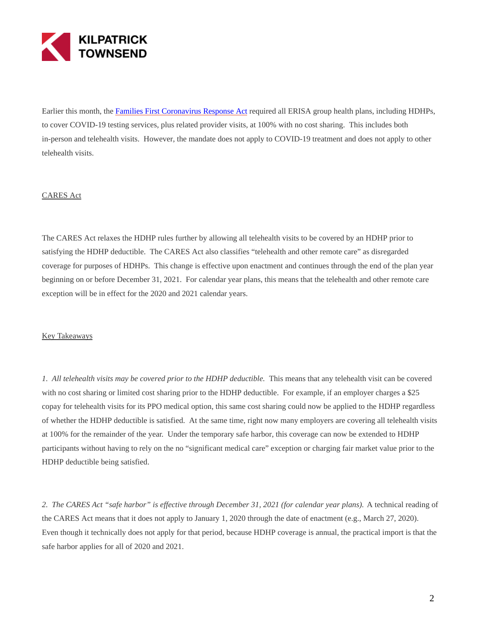

Earlier this month, the [Families First Coronavirus Response Act r](https://www.kilpatricktownsend.com/Blog/ERISA/2020/3/COVID-19-Relief-Act-Mandates-Testing-Coverage-without-Cost-Sharing)equired all ERISA group health plans, including HDHPs, to cover COVID-19 testing services, plus related provider visits, at 100% with no cost sharing. This includes both in-person and telehealth visits. However, the mandate does not apply to COVID-19 treatment and does not apply to other telehealth visits.

## CARES Act

The CARES Act relaxes the HDHP rules further by allowing all telehealth visits to be covered by an HDHP prior to satisfying the HDHP deductible. The CARES Act also classifies "telehealth and other remote care" as disregarded coverage for purposes of HDHPs. This change is effective upon enactment and continues through the end of the plan year beginning on or before December 31, 2021. For calendar year plans, this means that the telehealth and other remote care exception will be in effect for the 2020 and 2021 calendar years.

## Key Takeaways

*1. All telehealth visits may be covered prior to the HDHP deductible.* This means that any telehealth visit can be covered with no cost sharing or limited cost sharing prior to the HDHP deductible. For example, if an employer charges a \$25 copay for telehealth visits for its PPO medical option, this same cost sharing could now be applied to the HDHP regardless of whether the HDHP deductible is satisfied. At the same time, right now many employers are covering all telehealth visits at 100% for the remainder of the year. Under the temporary safe harbor, this coverage can now be extended to HDHP participants without having to rely on the no "significant medical care" exception or charging fair market value prior to the HDHP deductible being satisfied.

*2. The CARES Act "safe harbor" is effective through December 31, 2021 (for calendar year plans).* A technical reading of the CARES Act means that it does not apply to January 1, 2020 through the date of enactment (e.g., March 27, 2020). Even though it technically does not apply for that period, because HDHP coverage is annual, the practical import is that the safe harbor applies for all of 2020 and 2021.